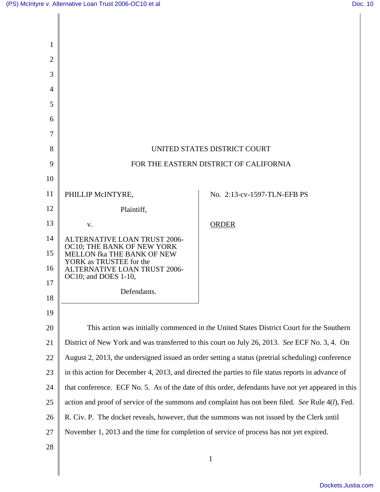| 1              |                                                                                                     |                             |
|----------------|-----------------------------------------------------------------------------------------------------|-----------------------------|
| $\overline{2}$ |                                                                                                     |                             |
| 3              |                                                                                                     |                             |
| $\overline{4}$ |                                                                                                     |                             |
| 5              |                                                                                                     |                             |
| 6              |                                                                                                     |                             |
| 7              |                                                                                                     |                             |
| 8              | UNITED STATES DISTRICT COURT                                                                        |                             |
| 9              | FOR THE EASTERN DISTRICT OF CALIFORNIA                                                              |                             |
| 10             |                                                                                                     |                             |
| 11             | PHILLIP McINTYRE,                                                                                   | No. 2:13-cv-1597-TLN-EFB PS |
| 12             | Plaintiff,                                                                                          |                             |
| 13             | V.                                                                                                  | <b>ORDER</b>                |
| 14             | <b>ALTERNATIVE LOAN TRUST 2006-</b>                                                                 |                             |
| 15             | OC10; THE BANK OF NEW YORK<br>MELLON fka THE BANK OF NEW                                            |                             |
| 16             | YORK as TRUSTEE for the<br><b>ALTERNATIVE LOAN TRUST 2006-</b>                                      |                             |
| 17             | OC10; and DOES 1-10,                                                                                |                             |
| 18             | Defendants.                                                                                         |                             |
| 19             |                                                                                                     |                             |
| 20             | This action was initially commenced in the United States District Court for the Southern            |                             |
| 21             | District of New York and was transferred to this court on July 26, 2013. See ECF No. 3, 4. On       |                             |
| 22             | August 2, 2013, the undersigned issued an order setting a status (pretrial scheduling) conference   |                             |
| 23             | in this action for December 4, 2013, and directed the parties to file status reports in advance of  |                             |
| 24             | that conference. ECF No. 5. As of the date of this order, defendants have not yet appeared in this  |                             |
| 25             | action and proof of service of the summons and complaint has not been filed. See Rule $4(l)$ , Fed. |                             |
| 26             | R. Civ. P. The docket reveals, however, that the summons was not issued by the Clerk until          |                             |
| 27             | November 1, 2013 and the time for completion of service of process has not yet expired.             |                             |
| 28             |                                                                                                     |                             |
|                |                                                                                                     | 1                           |